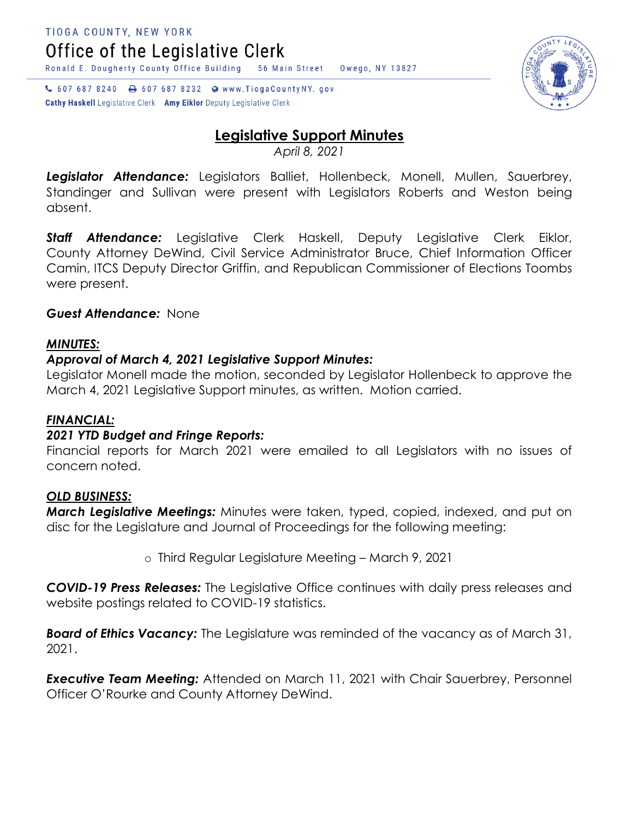C 607 687 8240 a 607 687 8232 a www.TiogaCountyNY.gov

**Cathy Haskell** Legislative Clerk Amy Eiklor Deputy Legislative Clerk

Ronald E. Dougherty County Office Building

# **Legislative Support Minutes**

Owego, NY 13827

56 Main Street

*April 8, 2021*

*Legislator Attendance:* Legislators Balliet, Hollenbeck, Monell, Mullen, Sauerbrey, Standinger and Sullivan were present with Legislators Roberts and Weston being absent.

*Staff Attendance:* Legislative Clerk Haskell, Deputy Legislative Clerk Eiklor, County Attorney DeWind, Civil Service Administrator Bruce, Chief Information Officer Camin, ITCS Deputy Director Griffin, and Republican Commissioner of Elections Toombs were present.

*Guest Attendance:* None

## *MINUTES:*

## *Approval of March 4, 2021 Legislative Support Minutes:*

Legislator Monell made the motion, seconded by Legislator Hollenbeck to approve the March 4, 2021 Legislative Support minutes, as written. Motion carried.

## *FINANCIAL:*

## *2021 YTD Budget and Fringe Reports:*

Financial reports for March 2021 were emailed to all Legislators with no issues of concern noted.

### *OLD BUSINESS:*

*March Legislative Meetings:* Minutes were taken, typed, copied, indexed, and put on disc for the Legislature and Journal of Proceedings for the following meeting:

o Third Regular Legislature Meeting – March 9, 2021

*COVID-19 Press Releases:* The Legislative Office continues with daily press releases and website postings related to COVID-19 statistics.

*Board of Ethics Vacancy:* The Legislature was reminded of the vacancy as of March 31, 2021.

*Executive Team Meeting:* Attended on March 11, 2021 with Chair Sauerbrey, Personnel Officer O'Rourke and County Attorney DeWind.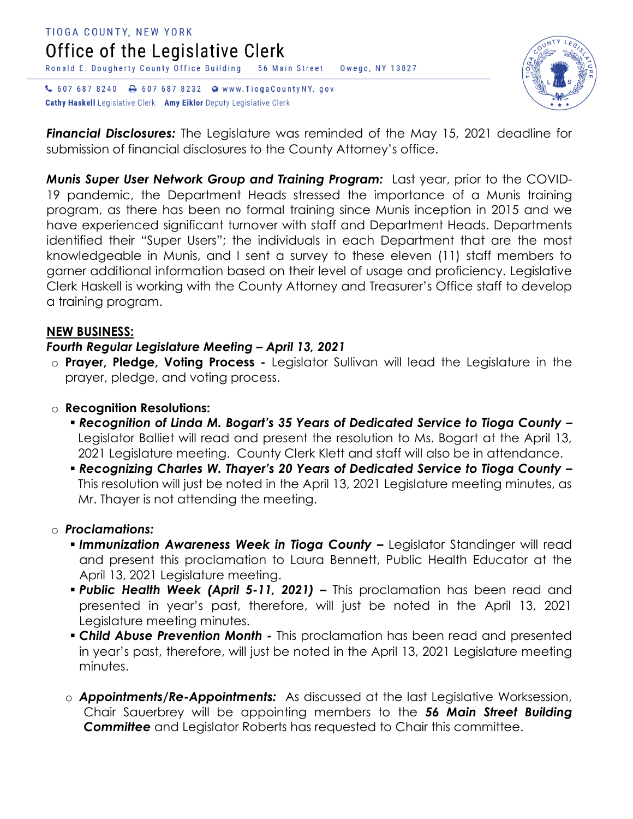



*Financial Disclosures:* The Legislature was reminded of the May 15, 2021 deadline for submission of financial disclosures to the County Attorney's office.

*Munis Super User Network Group and Training Program:*Last year, prior to the COVID-19 pandemic, the Department Heads stressed the importance of a Munis training program, as there has been no formal training since Munis inception in 2015 and we have experienced significant turnover with staff and Department Heads. Departments identified their "Super Users"; the individuals in each Department that are the most knowledgeable in Munis, and I sent a survey to these eleven (11) staff members to garner additional information based on their level of usage and proficiency. Legislative Clerk Haskell is working with the County Attorney and Treasurer's Office staff to develop a training program.

#### **NEW BUSINESS:**

#### *Fourth Regular Legislature Meeting – April 13, 2021*

- o **Prayer, Pledge, Voting Process -** Legislator Sullivan will lead the Legislature in the prayer, pledge, and voting process.
- o **Recognition Resolutions:**
	- *Recognition of Linda M. Bogart's 35 Years of Dedicated Service to Tioga County –* Legislator Balliet will read and present the resolution to Ms. Bogart at the April 13, 2021 Legislature meeting. County Clerk Klett and staff will also be in attendance.
	- *Recognizing Charles W. Thayer's 20 Years of Dedicated Service to Tioga County –* This resolution will just be noted in the April 13, 2021 Legislature meeting minutes, as Mr. Thayer is not attending the meeting.

#### o *Proclamations:*

- *Immunization Awareness Week in Tioga County –* Legislator Standinger will read and present this proclamation to Laura Bennett, Public Health Educator at the April 13, 2021 Legislature meeting.
- *Public Health Week (April 5-11, 2021) –* This proclamation has been read and presented in year's past, therefore, will just be noted in the April 13, 2021 Legislature meeting minutes.
- *Child Abuse Prevention Month -* This proclamation has been read and presented in year's past, therefore, will just be noted in the April 13, 2021 Legislature meeting minutes.
- o *Appointments/Re-Appointments:* As discussed at the last Legislative Worksession, Chair Sauerbrey will be appointing members to the *56 Main Street Building Committee* and Legislator Roberts has requested to Chair this committee.